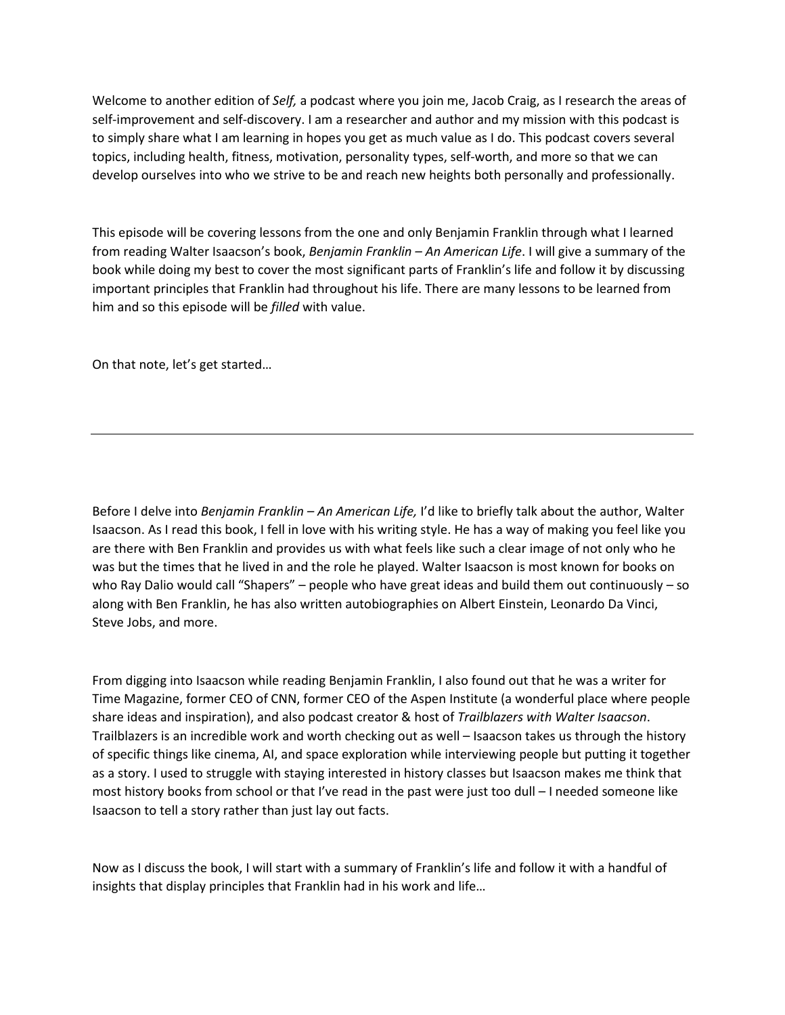Welcome to another edition of *Self,* a podcast where you join me, Jacob Craig, as I research the areas of self-improvement and self-discovery. I am a researcher and author and my mission with this podcast is to simply share what I am learning in hopes you get as much value as I do. This podcast covers several topics, including health, fitness, motivation, personality types, self-worth, and more so that we can develop ourselves into who we strive to be and reach new heights both personally and professionally.

This episode will be covering lessons from the one and only Benjamin Franklin through what I learned from reading Walter Isaacson's book, *Benjamin Franklin – An American Life*. I will give a summary of the book while doing my best to cover the most significant parts of Franklin's life and follow it by discussing important principles that Franklin had throughout his life. There are many lessons to be learned from him and so this episode will be *filled* with value.

On that note, let's get started…

Before I delve into *Benjamin Franklin – An American Life,* I'd like to briefly talk about the author, Walter Isaacson. As I read this book, I fell in love with his writing style. He has a way of making you feel like you are there with Ben Franklin and provides us with what feels like such a clear image of not only who he was but the times that he lived in and the role he played. Walter Isaacson is most known for books on who Ray Dalio would call "Shapers" – people who have great ideas and build them out continuously – so along with Ben Franklin, he has also written autobiographies on Albert Einstein, Leonardo Da Vinci, Steve Jobs, and more.

From digging into Isaacson while reading Benjamin Franklin, I also found out that he was a writer for Time Magazine, former CEO of CNN, former CEO of the Aspen Institute (a wonderful place where people share ideas and inspiration), and also podcast creator & host of *Trailblazers with Walter Isaacson*. Trailblazers is an incredible work and worth checking out as well – Isaacson takes us through the history of specific things like cinema, AI, and space exploration while interviewing people but putting it together as a story. I used to struggle with staying interested in history classes but Isaacson makes me think that most history books from school or that I've read in the past were just too dull – I needed someone like Isaacson to tell a story rather than just lay out facts.

Now as I discuss the book, I will start with a summary of Franklin's life and follow it with a handful of insights that display principles that Franklin had in his work and life…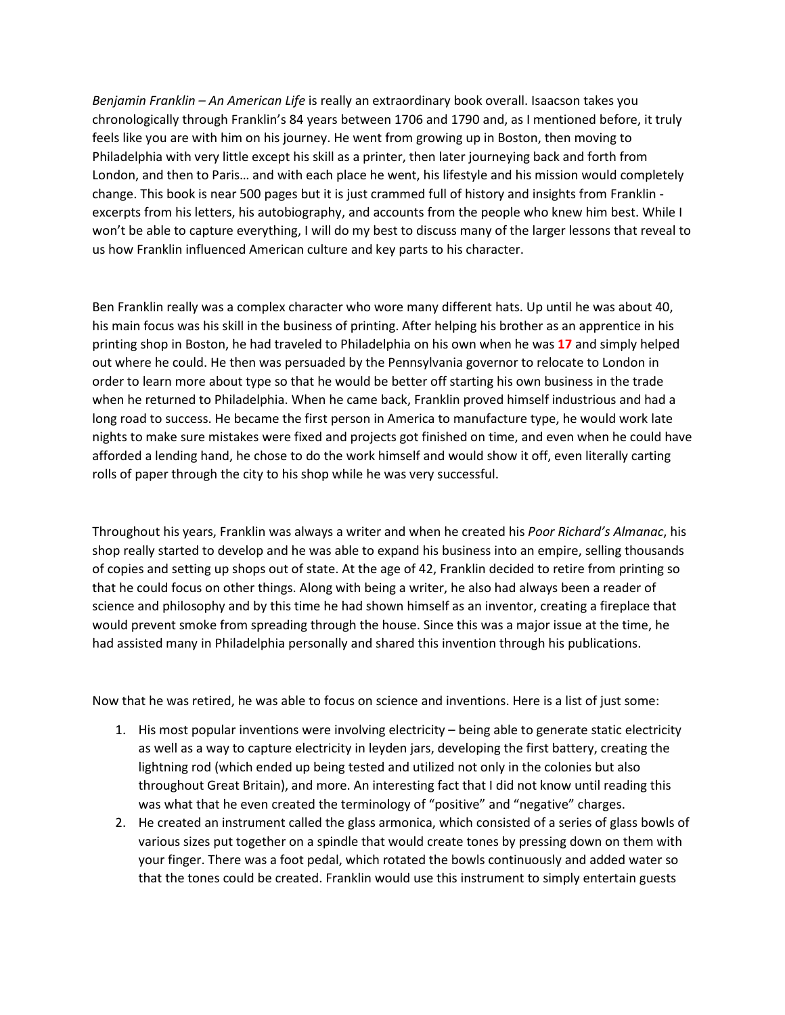*Benjamin Franklin – An American Life* is really an extraordinary book overall. Isaacson takes you chronologically through Franklin's 84 years between 1706 and 1790 and, as I mentioned before, it truly feels like you are with him on his journey. He went from growing up in Boston, then moving to Philadelphia with very little except his skill as a printer, then later journeying back and forth from London, and then to Paris… and with each place he went, his lifestyle and his mission would completely change. This book is near 500 pages but it is just crammed full of history and insights from Franklin excerpts from his letters, his autobiography, and accounts from the people who knew him best. While I won't be able to capture everything, I will do my best to discuss many of the larger lessons that reveal to us how Franklin influenced American culture and key parts to his character.

Ben Franklin really was a complex character who wore many different hats. Up until he was about 40, his main focus was his skill in the business of printing. After helping his brother as an apprentice in his printing shop in Boston, he had traveled to Philadelphia on his own when he was **17** and simply helped out where he could. He then was persuaded by the Pennsylvania governor to relocate to London in order to learn more about type so that he would be better off starting his own business in the trade when he returned to Philadelphia. When he came back, Franklin proved himself industrious and had a long road to success. He became the first person in America to manufacture type, he would work late nights to make sure mistakes were fixed and projects got finished on time, and even when he could have afforded a lending hand, he chose to do the work himself and would show it off, even literally carting rolls of paper through the city to his shop while he was very successful.

Throughout his years, Franklin was always a writer and when he created his *Poor Richard's Almanac*, his shop really started to develop and he was able to expand his business into an empire, selling thousands of copies and setting up shops out of state. At the age of 42, Franklin decided to retire from printing so that he could focus on other things. Along with being a writer, he also had always been a reader of science and philosophy and by this time he had shown himself as an inventor, creating a fireplace that would prevent smoke from spreading through the house. Since this was a major issue at the time, he had assisted many in Philadelphia personally and shared this invention through his publications.

Now that he was retired, he was able to focus on science and inventions. Here is a list of just some:

- 1. His most popular inventions were involving electricity being able to generate static electricity as well as a way to capture electricity in leyden jars, developing the first battery, creating the lightning rod (which ended up being tested and utilized not only in the colonies but also throughout Great Britain), and more. An interesting fact that I did not know until reading this was what that he even created the terminology of "positive" and "negative" charges.
- 2. He created an instrument called the glass armonica, which consisted of a series of glass bowls of various sizes put together on a spindle that would create tones by pressing down on them with your finger. There was a foot pedal, which rotated the bowls continuously and added water so that the tones could be created. Franklin would use this instrument to simply entertain guests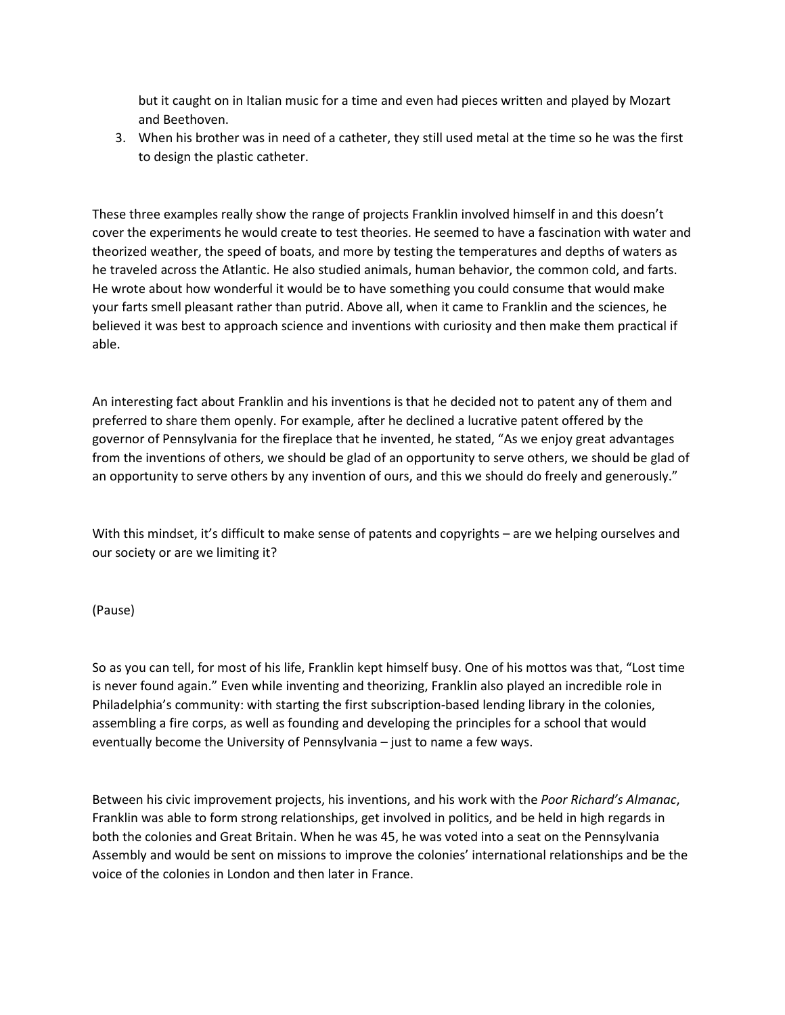but it caught on in Italian music for a time and even had pieces written and played by Mozart and Beethoven.

3. When his brother was in need of a catheter, they still used metal at the time so he was the first to design the plastic catheter.

These three examples really show the range of projects Franklin involved himself in and this doesn't cover the experiments he would create to test theories. He seemed to have a fascination with water and theorized weather, the speed of boats, and more by testing the temperatures and depths of waters as he traveled across the Atlantic. He also studied animals, human behavior, the common cold, and farts. He wrote about how wonderful it would be to have something you could consume that would make your farts smell pleasant rather than putrid. Above all, when it came to Franklin and the sciences, he believed it was best to approach science and inventions with curiosity and then make them practical if able.

An interesting fact about Franklin and his inventions is that he decided not to patent any of them and preferred to share them openly. For example, after he declined a lucrative patent offered by the governor of Pennsylvania for the fireplace that he invented, he stated, "As we enjoy great advantages from the inventions of others, we should be glad of an opportunity to serve others, we should be glad of an opportunity to serve others by any invention of ours, and this we should do freely and generously."

With this mindset, it's difficult to make sense of patents and copyrights – are we helping ourselves and our society or are we limiting it?

(Pause)

So as you can tell, for most of his life, Franklin kept himself busy. One of his mottos was that, "Lost time is never found again." Even while inventing and theorizing, Franklin also played an incredible role in Philadelphia's community: with starting the first subscription-based lending library in the colonies, assembling a fire corps, as well as founding and developing the principles for a school that would eventually become the University of Pennsylvania – just to name a few ways.

Between his civic improvement projects, his inventions, and his work with the *Poor Richard's Almanac*, Franklin was able to form strong relationships, get involved in politics, and be held in high regards in both the colonies and Great Britain. When he was 45, he was voted into a seat on the Pennsylvania Assembly and would be sent on missions to improve the colonies' international relationships and be the voice of the colonies in London and then later in France.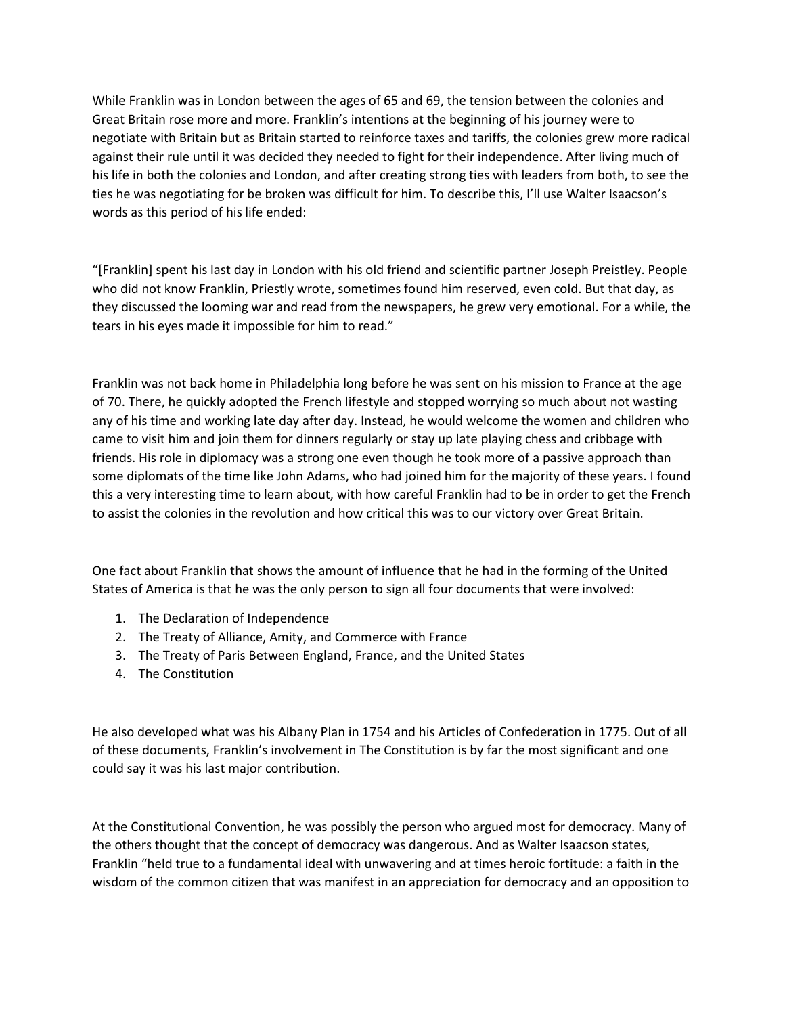While Franklin was in London between the ages of 65 and 69, the tension between the colonies and Great Britain rose more and more. Franklin's intentions at the beginning of his journey were to negotiate with Britain but as Britain started to reinforce taxes and tariffs, the colonies grew more radical against their rule until it was decided they needed to fight for their independence. After living much of his life in both the colonies and London, and after creating strong ties with leaders from both, to see the ties he was negotiating for be broken was difficult for him. To describe this, I'll use Walter Isaacson's words as this period of his life ended:

"[Franklin] spent his last day in London with his old friend and scientific partner Joseph Preistley. People who did not know Franklin, Priestly wrote, sometimes found him reserved, even cold. But that day, as they discussed the looming war and read from the newspapers, he grew very emotional. For a while, the tears in his eyes made it impossible for him to read."

Franklin was not back home in Philadelphia long before he was sent on his mission to France at the age of 70. There, he quickly adopted the French lifestyle and stopped worrying so much about not wasting any of his time and working late day after day. Instead, he would welcome the women and children who came to visit him and join them for dinners regularly or stay up late playing chess and cribbage with friends. His role in diplomacy was a strong one even though he took more of a passive approach than some diplomats of the time like John Adams, who had joined him for the majority of these years. I found this a very interesting time to learn about, with how careful Franklin had to be in order to get the French to assist the colonies in the revolution and how critical this was to our victory over Great Britain.

One fact about Franklin that shows the amount of influence that he had in the forming of the United States of America is that he was the only person to sign all four documents that were involved:

- 1. The Declaration of Independence
- 2. The Treaty of Alliance, Amity, and Commerce with France
- 3. The Treaty of Paris Between England, France, and the United States
- 4. The Constitution

He also developed what was his Albany Plan in 1754 and his Articles of Confederation in 1775. Out of all of these documents, Franklin's involvement in The Constitution is by far the most significant and one could say it was his last major contribution.

At the Constitutional Convention, he was possibly the person who argued most for democracy. Many of the others thought that the concept of democracy was dangerous. And as Walter Isaacson states, Franklin "held true to a fundamental ideal with unwavering and at times heroic fortitude: a faith in the wisdom of the common citizen that was manifest in an appreciation for democracy and an opposition to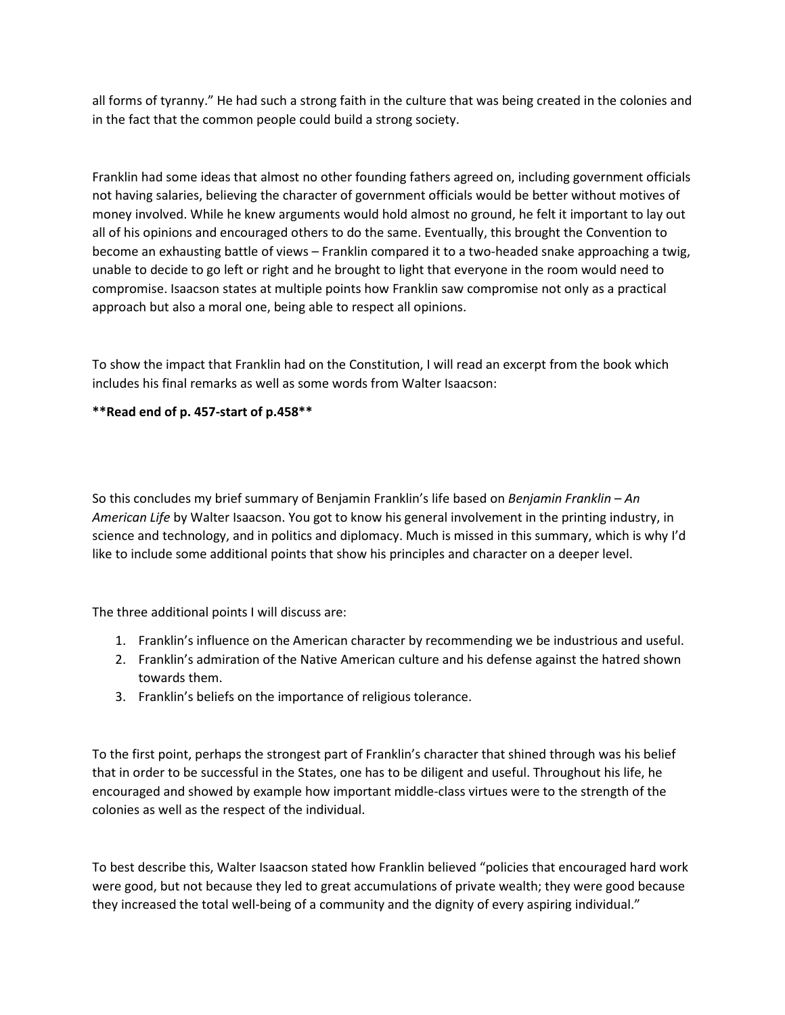all forms of tyranny." He had such a strong faith in the culture that was being created in the colonies and in the fact that the common people could build a strong society.

Franklin had some ideas that almost no other founding fathers agreed on, including government officials not having salaries, believing the character of government officials would be better without motives of money involved. While he knew arguments would hold almost no ground, he felt it important to lay out all of his opinions and encouraged others to do the same. Eventually, this brought the Convention to become an exhausting battle of views – Franklin compared it to a two-headed snake approaching a twig, unable to decide to go left or right and he brought to light that everyone in the room would need to compromise. Isaacson states at multiple points how Franklin saw compromise not only as a practical approach but also a moral one, being able to respect all opinions.

To show the impact that Franklin had on the Constitution, I will read an excerpt from the book which includes his final remarks as well as some words from Walter Isaacson:

## **\*\*Read end of p. 457-start of p.458\*\***

So this concludes my brief summary of Benjamin Franklin's life based on *Benjamin Franklin – An American Life* by Walter Isaacson. You got to know his general involvement in the printing industry, in science and technology, and in politics and diplomacy. Much is missed in this summary, which is why I'd like to include some additional points that show his principles and character on a deeper level.

The three additional points I will discuss are:

- 1. Franklin's influence on the American character by recommending we be industrious and useful.
- 2. Franklin's admiration of the Native American culture and his defense against the hatred shown towards them.
- 3. Franklin's beliefs on the importance of religious tolerance.

To the first point, perhaps the strongest part of Franklin's character that shined through was his belief that in order to be successful in the States, one has to be diligent and useful. Throughout his life, he encouraged and showed by example how important middle-class virtues were to the strength of the colonies as well as the respect of the individual.

To best describe this, Walter Isaacson stated how Franklin believed "policies that encouraged hard work were good, but not because they led to great accumulations of private wealth; they were good because they increased the total well-being of a community and the dignity of every aspiring individual."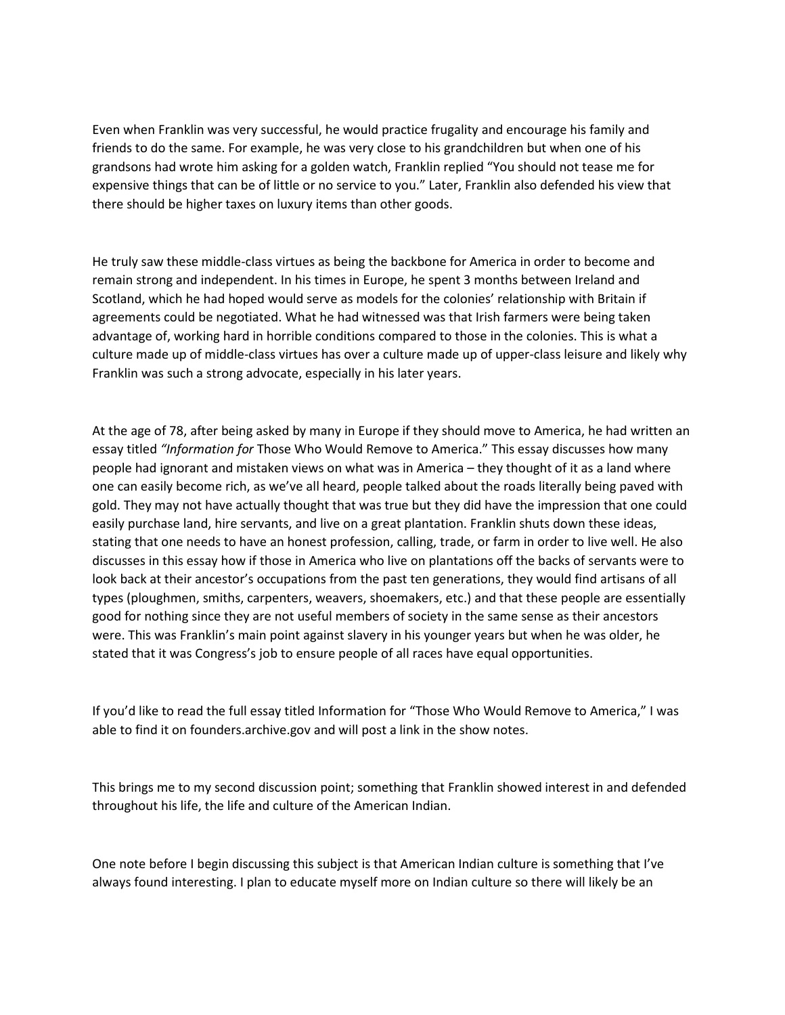Even when Franklin was very successful, he would practice frugality and encourage his family and friends to do the same. For example, he was very close to his grandchildren but when one of his grandsons had wrote him asking for a golden watch, Franklin replied "You should not tease me for expensive things that can be of little or no service to you." Later, Franklin also defended his view that there should be higher taxes on luxury items than other goods.

He truly saw these middle-class virtues as being the backbone for America in order to become and remain strong and independent. In his times in Europe, he spent 3 months between Ireland and Scotland, which he had hoped would serve as models for the colonies' relationship with Britain if agreements could be negotiated. What he had witnessed was that Irish farmers were being taken advantage of, working hard in horrible conditions compared to those in the colonies. This is what a culture made up of middle-class virtues has over a culture made up of upper-class leisure and likely why Franklin was such a strong advocate, especially in his later years.

At the age of 78, after being asked by many in Europe if they should move to America, he had written an essay titled *"Information for* Those Who Would Remove to America." This essay discusses how many people had ignorant and mistaken views on what was in America – they thought of it as a land where one can easily become rich, as we've all heard, people talked about the roads literally being paved with gold. They may not have actually thought that was true but they did have the impression that one could easily purchase land, hire servants, and live on a great plantation. Franklin shuts down these ideas, stating that one needs to have an honest profession, calling, trade, or farm in order to live well. He also discusses in this essay how if those in America who live on plantations off the backs of servants were to look back at their ancestor's occupations from the past ten generations, they would find artisans of all types (ploughmen, smiths, carpenters, weavers, shoemakers, etc.) and that these people are essentially good for nothing since they are not useful members of society in the same sense as their ancestors were. This was Franklin's main point against slavery in his younger years but when he was older, he stated that it was Congress's job to ensure people of all races have equal opportunities.

If you'd like to read the full essay titled Information for "Those Who Would Remove to America," I was able to find it on founders.archive.gov and will post a link in the show notes.

This brings me to my second discussion point; something that Franklin showed interest in and defended throughout his life, the life and culture of the American Indian.

One note before I begin discussing this subject is that American Indian culture is something that I've always found interesting. I plan to educate myself more on Indian culture so there will likely be an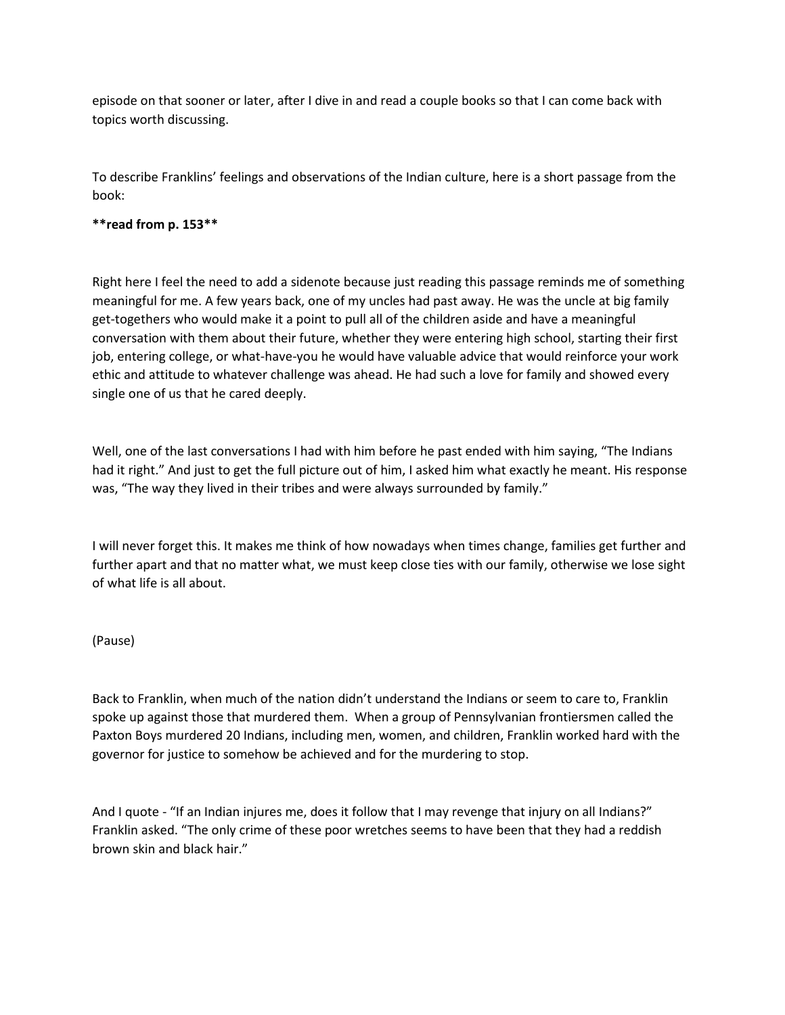episode on that sooner or later, after I dive in and read a couple books so that I can come back with topics worth discussing.

To describe Franklins' feelings and observations of the Indian culture, here is a short passage from the book:

## **\*\*read from p. 153\*\***

Right here I feel the need to add a sidenote because just reading this passage reminds me of something meaningful for me. A few years back, one of my uncles had past away. He was the uncle at big family get-togethers who would make it a point to pull all of the children aside and have a meaningful conversation with them about their future, whether they were entering high school, starting their first job, entering college, or what-have-you he would have valuable advice that would reinforce your work ethic and attitude to whatever challenge was ahead. He had such a love for family and showed every single one of us that he cared deeply.

Well, one of the last conversations I had with him before he past ended with him saying, "The Indians had it right." And just to get the full picture out of him, I asked him what exactly he meant. His response was, "The way they lived in their tribes and were always surrounded by family."

I will never forget this. It makes me think of how nowadays when times change, families get further and further apart and that no matter what, we must keep close ties with our family, otherwise we lose sight of what life is all about.

(Pause)

Back to Franklin, when much of the nation didn't understand the Indians or seem to care to, Franklin spoke up against those that murdered them. When a group of Pennsylvanian frontiersmen called the Paxton Boys murdered 20 Indians, including men, women, and children, Franklin worked hard with the governor for justice to somehow be achieved and for the murdering to stop.

And I quote - "If an Indian injures me, does it follow that I may revenge that injury on all Indians?" Franklin asked. "The only crime of these poor wretches seems to have been that they had a reddish brown skin and black hair."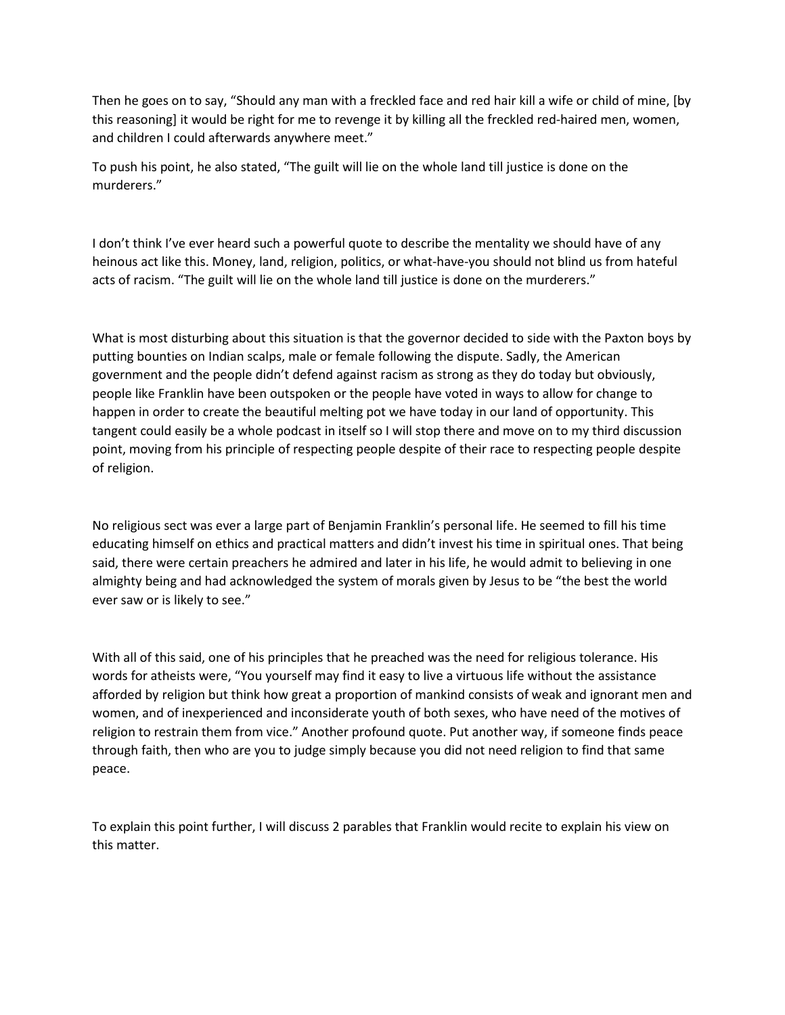Then he goes on to say, "Should any man with a freckled face and red hair kill a wife or child of mine, [by this reasoning] it would be right for me to revenge it by killing all the freckled red-haired men, women, and children I could afterwards anywhere meet."

To push his point, he also stated, "The guilt will lie on the whole land till justice is done on the murderers."

I don't think I've ever heard such a powerful quote to describe the mentality we should have of any heinous act like this. Money, land, religion, politics, or what-have-you should not blind us from hateful acts of racism. "The guilt will lie on the whole land till justice is done on the murderers."

What is most disturbing about this situation is that the governor decided to side with the Paxton boys by putting bounties on Indian scalps, male or female following the dispute. Sadly, the American government and the people didn't defend against racism as strong as they do today but obviously, people like Franklin have been outspoken or the people have voted in ways to allow for change to happen in order to create the beautiful melting pot we have today in our land of opportunity. This tangent could easily be a whole podcast in itself so I will stop there and move on to my third discussion point, moving from his principle of respecting people despite of their race to respecting people despite of religion.

No religious sect was ever a large part of Benjamin Franklin's personal life. He seemed to fill his time educating himself on ethics and practical matters and didn't invest his time in spiritual ones. That being said, there were certain preachers he admired and later in his life, he would admit to believing in one almighty being and had acknowledged the system of morals given by Jesus to be "the best the world ever saw or is likely to see."

With all of this said, one of his principles that he preached was the need for religious tolerance. His words for atheists were, "You yourself may find it easy to live a virtuous life without the assistance afforded by religion but think how great a proportion of mankind consists of weak and ignorant men and women, and of inexperienced and inconsiderate youth of both sexes, who have need of the motives of religion to restrain them from vice." Another profound quote. Put another way, if someone finds peace through faith, then who are you to judge simply because you did not need religion to find that same peace.

To explain this point further, I will discuss 2 parables that Franklin would recite to explain his view on this matter.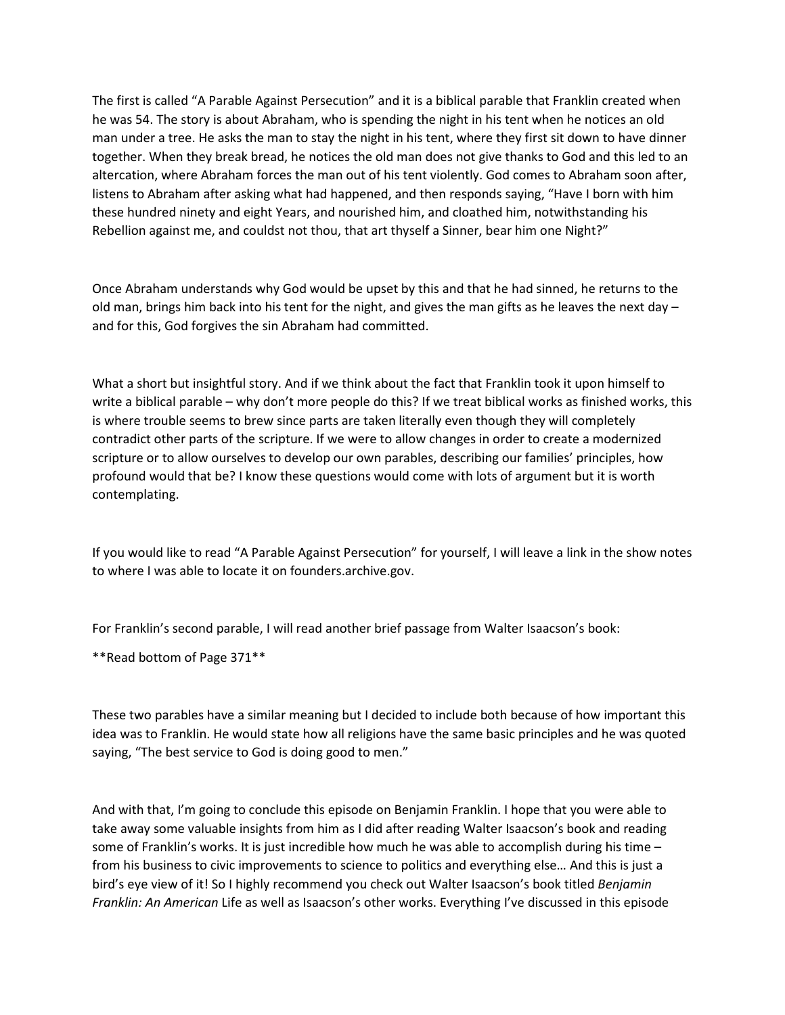The first is called "A Parable Against Persecution" and it is a biblical parable that Franklin created when he was 54. The story is about Abraham, who is spending the night in his tent when he notices an old man under a tree. He asks the man to stay the night in his tent, where they first sit down to have dinner together. When they break bread, he notices the old man does not give thanks to God and this led to an altercation, where Abraham forces the man out of his tent violently. God comes to Abraham soon after, listens to Abraham after asking what had happened, and then responds saying, "Have I born with him these hundred ninety and eight Years, and nourished him, and cloathed him, notwithstanding his Rebellion against me, and couldst not thou, that art thyself a Sinner, bear him one Night?"

Once Abraham understands why God would be upset by this and that he had sinned, he returns to the old man, brings him back into his tent for the night, and gives the man gifts as he leaves the next day  $$ and for this, God forgives the sin Abraham had committed.

What a short but insightful story. And if we think about the fact that Franklin took it upon himself to write a biblical parable – why don't more people do this? If we treat biblical works as finished works, this is where trouble seems to brew since parts are taken literally even though they will completely contradict other parts of the scripture. If we were to allow changes in order to create a modernized scripture or to allow ourselves to develop our own parables, describing our families' principles, how profound would that be? I know these questions would come with lots of argument but it is worth contemplating.

If you would like to read "A Parable Against Persecution" for yourself, I will leave a link in the show notes to where I was able to locate it on founders.archive.gov.

For Franklin's second parable, I will read another brief passage from Walter Isaacson's book:

\*\*Read bottom of Page 371\*\*

These two parables have a similar meaning but I decided to include both because of how important this idea was to Franklin. He would state how all religions have the same basic principles and he was quoted saying, "The best service to God is doing good to men."

And with that, I'm going to conclude this episode on Benjamin Franklin. I hope that you were able to take away some valuable insights from him as I did after reading Walter Isaacson's book and reading some of Franklin's works. It is just incredible how much he was able to accomplish during his time – from his business to civic improvements to science to politics and everything else… And this is just a bird's eye view of it! So I highly recommend you check out Walter Isaacson's book titled *Benjamin Franklin: An American* Life as well as Isaacson's other works. Everything I've discussed in this episode